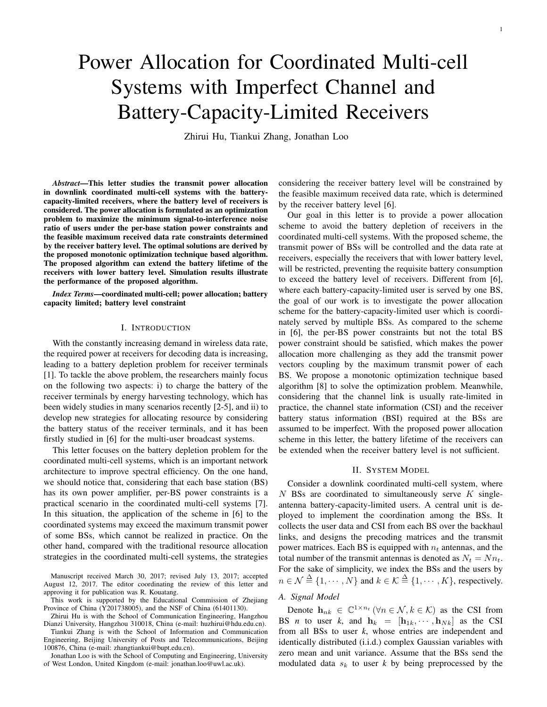# Power Allocation for Coordinated Multi-cell Systems with Imperfect Channel and Battery-Capacity-Limited Receivers

Zhirui Hu, Tiankui Zhang, Jonathan Loo

*Abstract*—This letter studies the transmit power allocation in downlink coordinated multi-cell systems with the batterycapacity-limited receivers, where the battery level of receivers is considered. The power allocation is formulated as an optimization problem to maximize the minimum signal-to-interference noise ratio of users under the per-base station power constraints and the feasible maximum received data rate constraints determined by the receiver battery level. The optimal solutions are derived by the proposed monotonic optimization technique based algorithm. The proposed algorithm can extend the battery lifetime of the receivers with lower battery level. Simulation results illustrate the performance of the proposed algorithm.

*Index Terms*—coordinated multi-cell; power allocation; battery capacity limited; battery level constraint

# I. INTRODUCTION

With the constantly increasing demand in wireless data rate, the required power at receivers for decoding data is increasing, leading to a battery depletion problem for receiver terminals [1]. To tackle the above problem, the researchers mainly focus on the following two aspects: i) to charge the battery of the receiver terminals by energy harvesting technology, which has been widely studies in many scenarios recently [2-5], and ii) to develop new strategies for allocating resource by considering the battery status of the receiver terminals, and it has been firstly studied in [6] for the multi-user broadcast systems.

This letter focuses on the battery depletion problem for the coordinated multi-cell systems, which is an important network architecture to improve spectral efficiency. On the one hand, we should notice that, considering that each base station (BS) has its own power amplifier, per-BS power constraints is a practical scenario in the coordinated multi-cell systems [7]. In this situation, the application of the scheme in [6] to the coordinated systems may exceed the maximum transmit power of some BSs, which cannot be realized in practice. On the other hand, compared with the traditional resource allocation strategies in the coordinated multi-cell systems, the strategies

Manuscript received March 30, 2017; revised July 13, 2017; accepted August 12, 2017. The editor coordinating the review of this letter and approving it for publication was R. Kouatang.

This work is supported by the Educational Commission of Zhejiang Province of China (Y201738005), and the NSF of China (61401130).

Zhirui Hu is with the School of Communication Engineering, Hangzhou Dianzi University, Hangzhou 310018, China (e-mail: huzhirui@hdu.edu.cn).

Tiankui Zhang is with the School of Information and Communication Engineering, Beijing University of Posts and Telecommunications, Beijing 100876, China (e-mail: zhangtiankui@bupt.edu.cn).

Jonathan Loo is with the School of Computing and Engineering, University of West London, United Kingdom (e-mail: jonathan.loo@uwl.ac.uk).

considering the receiver battery level will be constrained by the feasible maximum received data rate, which is determined by the receiver battery level [6].

Our goal in this letter is to provide a power allocation scheme to avoid the battery depletion of receivers in the coordinated multi-cell systems. With the proposed scheme, the transmit power of BSs will be controlled and the data rate at receivers, especially the receivers that with lower battery level, will be restricted, preventing the requisite battery consumption to exceed the battery level of receivers. Different from [6], where each battery-capacity-limited user is served by one BS, the goal of our work is to investigate the power allocation scheme for the battery-capacity-limited user which is coordinately served by multiple BSs. As compared to the scheme in [6], the per-BS power constraints but not the total BS power constraint should be satisfied, which makes the power allocation more challenging as they add the transmit power vectors coupling by the maximum transmit power of each BS. We propose a monotonic optimization technique based algorithm [8] to solve the optimization problem. Meanwhile, considering that the channel link is usually rate-limited in practice, the channel state information (CSI) and the receiver battery status information (BSI) required at the BSs are assumed to be imperfect. With the proposed power allocation scheme in this letter, the battery lifetime of the receivers can be extended when the receiver battery level is not sufficient.

# II. SYSTEM MODEL

Consider a downlink coordinated multi-cell system, where  $N$  BSs are coordinated to simultaneously serve  $K$  singleantenna battery-capacity-limited users. A central unit is deployed to implement the coordination among the BSs. It collects the user data and CSI from each BS over the backhaul links, and designs the precoding matrices and the transmit power matrices. Each BS is equipped with  $n_t$  antennas, and the total number of the transmit antennas is denoted as  $N_t = Nn_t$ . For the sake of simplicity, we index the BSs and the users by  $n \in \mathcal{N} \stackrel{\Delta}{=} \{1, \cdots, N\}$  and  $k \in \mathcal{K} \stackrel{\Delta}{=} \{1, \cdots, K\}$ , respectively.

# *A. Signal Model*

Denote  $\mathbf{h}_{nk} \in \mathbb{C}^{1 \times n_t}$  ( $\forall n \in \mathcal{N}, k \in \mathcal{K}$ ) as the CSI from BS *n* to user *k*, and  $h_k = [h_{1k}, \cdots, h_{Nk}]$  as the CSI from all BSs to user *k*, whose entries are independent and identically distributed (i.i.d.) complex Gaussian variables with zero mean and unit variance. Assume that the BSs send the modulated data  $s_k$  to user k by being preprocessed by the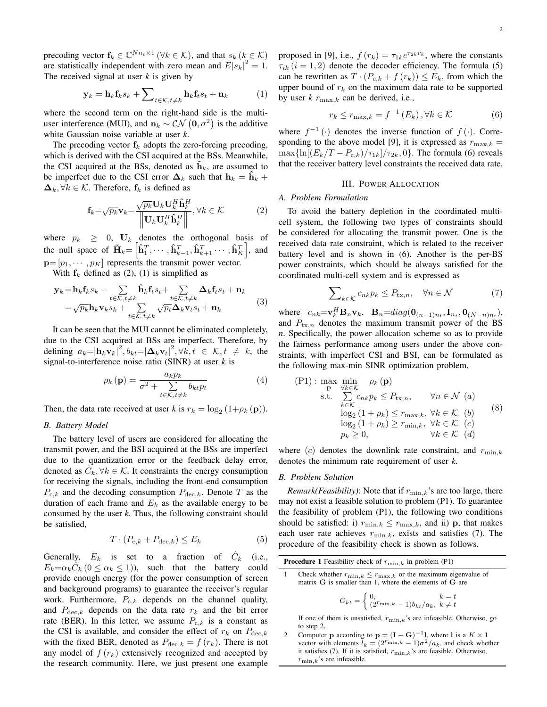precoding vector  $f_k \in \mathbb{C}^{Nn_t \times 1}$  ( $\forall k \in \mathcal{K}$ ), and that  $s_k$  ( $k \in \mathcal{K}$ ) are statistically independent with zero mean and  $E|s_k|^2 = 1$ . The received signal at user *k* is given by

$$
\mathbf{y}_k = \mathbf{h}_k \mathbf{f}_k s_k + \sum\nolimits_{t \in \mathcal{K}, t \neq k} \mathbf{h}_k \mathbf{f}_t s_t + \mathbf{n}_k \tag{1}
$$

where the second term on the right-hand side is the multiuser interference (MUI), and  $n_k \sim \mathcal{CN} (0, \sigma^2)$  is the additive white Gaussian noise variable at user *k*.

The precoding vector  $f_k$  adopts the zero-forcing precoding, which is derived with the CSI acquired at the BSs. Meanwhile, the CSI acquired at the BSs, denoted as  $\mathbf{h}_k$ , are assumed to be imperfect due to the CSI error  $\Delta_k$  such that  $h_k = \tilde{h}_k + \tilde{h}_k$  $\Delta_k, \forall k \in \mathcal{K}$ . Therefore,  $f_k$  is defined as

$$
\mathbf{f}_{k} = \sqrt{p_{k}} \mathbf{v}_{k} = \frac{\sqrt{p_{k}} \mathbf{U}_{k} \mathbf{U}_{k}^{H} \hat{\mathbf{h}}_{k}^{H}}{\left\| \mathbf{U}_{k} \mathbf{U}_{k}^{H} \hat{\mathbf{h}}_{k}^{H} \right\|}, \forall k \in \mathcal{K}
$$
\n(2)

where  $p_k \geq 0$ ,  $\mathbf{U}_k$  denotes the orthogonal basis of the null space of  $\tilde{\mathbf{H}}_k = \left[\hat{\mathbf{h}}_1^T, \cdots, \hat{\mathbf{h}}_{k-1}^T, \hat{\mathbf{h}}_{k+1}^T \cdots, \hat{\mathbf{h}}_K^T\right]$ , and  $\mathbf{p}=[p_1,\cdots,p_K]$  represents the transmit power vector.

With  $f_k$  defined as (2), (1) is simplified as

$$
\mathbf{y}_k = \mathbf{h}_k \mathbf{f}_k s_k + \sum_{t \in \mathcal{K}, t \neq k} \hat{\mathbf{h}}_k \mathbf{f}_t s_t + \sum_{t \in \mathcal{K}, t \neq k} \Delta_k \mathbf{f}_t s_t + \mathbf{n}_k
$$
  
=  $\sqrt{p_k} \mathbf{h}_k \mathbf{v}_k s_k + \sum_{t \in \mathcal{K}, t \neq k} \sqrt{p_t} \Delta_k \mathbf{v}_t s_t + \mathbf{n}_k$  (3)

It can be seen that the MUI cannot be eliminated completely, due to the CSI acquired at BSs are imperfect. Therefore, by defining  $a_k = |\mathbf{h}_k \mathbf{v}_k|^2$ ,  $b_{kt} = |\mathbf{\Delta}_k \mathbf{v}_t|^2$ ,  $\forall k, t \in \mathcal{K}, t \neq k$ , the signal-to-interference noise ratio (SINR) at user *k* is

$$
\rho_k(\mathbf{p}) = \frac{a_k p_k}{\sigma^2 + \sum_{t \in \mathcal{K}, t \neq k} b_{kt} p_t} \tag{4}
$$

Then, the data rate received at user *k* is  $r_k = \log_2(1 + \rho_k(\mathbf{p}))$ .

# *B. Battery Model*

The battery level of users are considered for allocating the transmit power, and the BSI acquired at the BSs are imperfect due to the quantization error or the feedback delay error, denoted as  $\hat{C}_k, \forall k \in \mathcal{K}$ . It constraints the energy consumption for receiving the signals, including the front-end consumption  $P_{c,k}$  and the decoding consumption  $P_{dec,k}$ . Denote T as the duration of each frame and  $E_k$  as the available energy to be consumed by the user *k*. Thus, the following constraint should be satisfied,

$$
T \cdot (P_{c,k} + P_{\text{dec},k}) \le E_k \tag{5}
$$

Generally,  $E_k$  is set to a fraction of  $\hat{C}_k$  (i.e.,  $E_k = \alpha_k \tilde{C}_k$  ( $0 \le \alpha_k \le 1$ )), such that the battery could provide enough energy (for the power consumption of screen and background programs) to guarantee the receiver's regular work. Furthermore,  $P_{c,k}$  depends on the channel quality, and  $P_{\text{dec},k}$  depends on the data rate  $r_k$  and the bit error rate (BER). In this letter, we assume  $P_{c,k}$  is a constant as the CSI is available, and consider the effect of  $r_k$  on  $P_{\text{dec},k}$ with the fixed BER, denoted as  $P_{\text{dec},k} = f(r_k)$ . There is not any model of  $f(r_k)$  extensively recognized and accepted by the research community. Here, we just present one example

proposed in [9], i.e.,  $f(r_k) = \tau_{1k}e^{\tau_{2k}r_k}$ , where the constants  $\tau_{ik}$  (i = 1, 2) denote the decoder efficiency. The formula (5) can be rewritten as  $T \cdot (P_{c,k} + f(r_k)) \leq E_k$ , from which the upper bound of  $r_k$  on the maximum data rate to be supported by user  $k \, r_{\text{max},k}$  can be derived, i.e.,

$$
r_k \le r_{\max,k} = f^{-1}(E_k), \forall k \in \mathcal{K}
$$
 (6)

where  $f^{-1}(\cdot)$  denotes the inverse function of  $f(\cdot)$ . Corresponding to the above model [9], it is expressed as  $r_{\text{max},k} =$  $\max\{\ln[(E_k/T - P_{c,k})/\tau_{1k}]/\tau_{2k}, 0\}$ . The formula (6) reveals that the receiver battery level constraints the received data rate.

#### III. POWER ALLOCATION

#### *A. Problem Formulation*

To avoid the battery depletion in the coordinated multicell system, the following two types of constraints should be considered for allocating the transmit power. One is the received data rate constraint, which is related to the receiver battery level and is shown in (6). Another is the per-BS power constraints, which should be always satisfied for the coordinated multi-cell system and is expressed as

$$
\sum_{k \in \mathcal{K}} c_{nk} p_k \le P_{\text{tx},n}, \quad \forall n \in \mathcal{N} \tag{7}
$$

where  $c_{nk} = \mathbf{v}_k^H \mathbf{B}_n \mathbf{v}_k$ ,  $\mathbf{B}_n = diag(\mathbf{0}_{(n-1)n_t}, \mathbf{I}_{n_t}, \mathbf{0}_{(N-n)n_t})$ , and  $P_{\text{tx},n}$  denotes the maximum transmit power of the BS *n*. Specifically, the power allocation scheme so as to provide the fairness performance among users under the above constraints, with imperfect CSI and BSI, can be formulated as the following max-min SINR optimization problem,

$$
\begin{array}{ll}\n\text{(P1)}: \max_{\mathbf{p}} \min_{\forall k \in \mathcal{K}} & \rho_k \text{ (p)} \\
\text{s.t.} & \sum_{k \in \mathcal{K}} c_{nk} p_k \le P_{\text{tx},n}, \qquad \forall n \in \mathcal{N} \text{ (a)} \\
\log_2 (1 + \rho_k) \le r_{\max,k}, \forall k \in \mathcal{K} \text{ (b)} \\
\log_2 (1 + \rho_k) \ge r_{\min,k}, \forall k \in \mathcal{K} \text{ (c)} \\
p_k \ge 0, \qquad \forall k \in \mathcal{K} \text{ (d)}\n\end{array}
$$
\n
$$
(8)
$$

where (c) denotes the downlink rate constraint, and  $r_{\min,k}$ denotes the minimum rate requirement of user *k*.

### *B. Problem Solution*

*Remark(Feasibility)*: Note that if  $r_{\min,k}$ 's are too large, there may not exist a feasible solution to problem (P1). To guarantee the feasibility of problem (P1), the following two conditions should be satisfied: i)  $r_{\min,k} \leq r_{\max,k}$ , and ii) **p**, that makes each user rate achieves  $r_{\min,k}$ , exists and satisfies (7). The procedure of the feasibility check is shown as follows.

| <b>Procedure 1</b> Feasibility check of $r_{\min,k}$ in problem (P1) |  |  |  |  |  |
|----------------------------------------------------------------------|--|--|--|--|--|
|----------------------------------------------------------------------|--|--|--|--|--|

Check whether  $r_{\min,k} \leq r_{\max,k}$  or the maximum eigenvalue of matrix  $G$  is smaller than 1, where the elements of  $G$  are

$$
G_{kt} = \begin{cases} 0, & k = t \\ (2^{r_{\min,k}} - 1)b_{kt}/a_k, & k \neq t \end{cases}
$$

If one of them is unsatisfied,  $r_{\min,k}$ 's are infeasible. Otherwise, go to step 2.

2 Computer **p** according to **p** =  $(I - G)^{-1}$ **l**, where **l** is a  $K \times 1$ vector with elements  $\tilde{l}_k = (2^{r_{\min,k}} - 1)\sigma^2/a_k$ , and check whether it satisfies (7). If it is satisfied,  $r_{\min,k}$ 's are feasible. Otherwise,  $r_{\min,k}$ 's are infeasible.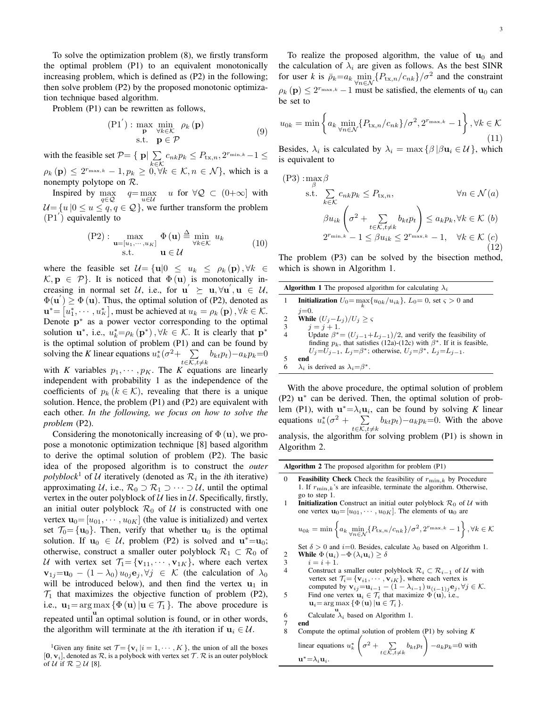To solve the optimization problem (8), we firstly transform the optimal problem (P1) to an equivalent monotonically increasing problem, which is defined as (P2) in the following; then solve problem (P2) by the proposed monotonic optimization technique based algorithm.

Problem (P1) can be rewritten as follows,

$$
\begin{array}{ll}\n\text{(P1')} : \max_{\mathbf{p}} \min_{\forall k \in \mathcal{K}} \rho_k \text{ (p)}\\ \text{s.t.} \quad \mathbf{p} \in \mathcal{P}\n\end{array} \tag{9}
$$

with the feasible set  $P = \{ \mathbf{p} | \sum_{n=1}^{\infty}$  $\sum_{k \in \mathcal{K}} c_{nk} p_k \leq P_{\text{tx},n}, 2^{r_{\min,k}} - 1 \leq$  $\rho_k(\mathbf{p}) \leq 2^{r_{\max,k}} - 1, p_k \geq 0, \forall k \in \mathcal{K}, n \in \mathcal{N}$ , which is a nonempty polytope on R.

Inspired by max q∈Q  $q = \max$  $u \in \mathcal{U}$ u for  $\forall Q \subset (0+\infty]$  with  $U = \{u \mid 0 \le u \le q, q \in \mathcal{Q}\}\,$ , we further transform the problem  $(P1')$  equivalently to

$$
\text{(P2)}: \max_{\mathbf{u} = [u_1, \cdots, u_K]} \Phi(\mathbf{u}) \stackrel{\Delta}{=} \min_{\forall k \in \mathcal{K}} u_k \quad \text{(10)}\text{s.t.} \quad \mathbf{u} \in \mathcal{U}
$$

where the feasible set  $\mathcal{U} = \{ \mathbf{u} | 0 \leq u_k \leq \rho_k(\mathbf{p}), \forall k \in \mathcal{U} \}$  $\mathcal{K}, \mathbf{p} \in \mathcal{P}$ . It is noticed that  $\Phi(\mathbf{u})$  is monotonically increasing in normal set U, i.e., for  $\mathbf{u}' \succeq \mathbf{u}, \forall \mathbf{u}', \mathbf{u} \in \mathcal{U}$ ,  $\Phi(\mathbf{u}') \geq \Phi(\mathbf{u})$ . Thus, the optimal solution of (P2), denoted as  $\mathbf{u}^* = [u_1^*, \cdots, u_K^*],$  must be achieved at  $u_k = \rho_k(\mathbf{p}), \forall k \in \mathcal{K}.$ Denote  $p^*$  as a power vector corresponding to the optimal solution  $\mathbf{u}^*$ , i.e.,  $u_k^* = \rho_k(\mathbf{p}^*)$ ,  $\forall k \in \mathcal{K}$ . It is clearly that  $\mathbf{p}^*$ is the optimal solution of problem (P1) and can be found by solving the *K* linear equations  $u_k^*(\sigma^2 + \sum_k$  $\sum_{t \in \mathcal{K}, t \neq k} b_{kt} p_t$ ) –  $a_k p_k$ =0 with *K* variables  $p_1, \dots, p_K$ . The *K* equations are linearly independent with probability 1 as the independence of the coefficients of  $p_k$  ( $k \in \mathcal{K}$ ), revealing that there is a unique solution. Hence, the problem (P1) and (P2) are equivalent with each other. *In the following, we focus on how to solve the problem* (P2).

Considering the monotonically increasing of  $\Phi(\mathbf{u})$ , we propose a monotonic optimization technique [8] based algorithm to derive the optimal solution of problem (P2). The basic idea of the proposed algorithm is to construct the *outer*  $polyblock<sup>1</sup>$  of U iteratively (denoted as  $\mathcal{R}_i$  in the *i*th iterative) approximating U, i.e.,  $\mathcal{R}_0 \supset \mathcal{R}_1 \supset \cdots \supset \mathcal{U}$ , until the optimal vertex in the outer polyblock of  $U$  lies in  $U$ . Specifically, firstly, an initial outer polyblock  $\mathcal{R}_0$  of  $\mathcal{U}$  is constructed with one vertex  $\mathbf{u}_0 = [u_{01}, \dots, u_{0K}]$  (the value is initialized) and vertex set  $\mathcal{T}_0 = {\mathbf{u}_0}$ . Then, verify that whether  $\mathbf{u}_0$  is the optimal solution. If  $\mathbf{u}_0 \in \mathcal{U}$ , problem (P2) is solved and  $\mathbf{u}^* = \mathbf{u}_0$ ; otherwise, construct a smaller outer polyblock  $\mathcal{R}_1 \subset \mathcal{R}_0$  of U with vertex set  $\mathcal{T}_1 = {\mathbf{v}_{11}, \cdots, \mathbf{v}_{1K}}$ , where each vertex  $\mathbf{v}_{1j}=\mathbf{u}_0 - (1-\lambda_0) u_{0j} \mathbf{e}_j, \forall j \in \mathcal{K}$  (the calculation of  $\lambda_0$ will be introduced below), and then find the vertex  $\mathbf{u}_1$  in  $\mathcal{T}_1$  that maximizes the objective function of problem (P2), i.e.,  $\mathbf{u}_1 = \arg \max \{ \Phi(\mathbf{u}) | \mathbf{u} \in \mathcal{T}_1 \}.$  The above procedure is u repeated until an optimal solution is found, or in other words, the algorithm will terminate at the *i*th iteration if  $u_i \in \mathcal{U}$ .

<sup>1</sup>Given any finite set  $\mathcal{T} = \{v_i | i = 1, \cdots, K\}$ , the union of all the boxes  $[0, v_i]$ , denoted as  $\mathcal{R}$ , is a polybock with vertex set  $\mathcal{T}$ .  $\mathcal{R}$  is an outer polyblock of U if  $\mathcal{R} \supseteq \mathcal{U}$  [8].

To realize the proposed algorithm, the value of  $\mathbf{u}_0$  and the calculation of  $\lambda_i$  are given as follows. As the best SINR for user *k* is  $\bar{\rho}_k = a_k \min_{\forall n \in \mathcal{N}} \{P_{\text{tx},n}/c_{nk}\}/\sigma^2$  and the constraint  $\rho_k(\mathbf{p}) \leq 2^{r_{\max,k}} - 1$  must be satisfied, the elements of  $\mathbf{u}_0$  can be set to

$$
u_{0k} = \min\left\{ a_k \min_{\forall n \in \mathcal{N}} \{P_{\text{tx},n}/c_{nk}\} / \sigma^2, 2^{r_{\text{max},k}} - 1 \right\}, \forall k \in \mathcal{K}
$$
\n(11)

Besides,  $\lambda_i$  is calculated by  $\lambda_i = \max \{ \beta | \beta \mathbf{u}_i \in \mathcal{U} \}$ , which is equivalent to

$$
\begin{aligned} \text{(P3)}: \max_{\beta} &\beta\\ \text{s.t.} \sum_{k \in \mathcal{K}} c_{nk} p_k \le P_{\text{tx},n}, &\forall n \in \mathcal{N}(a) \\ &\beta u_{ik} \left( \sigma^2 + \sum_{t \in \mathcal{K}, t \ne k} b_{kt} p_t \right) \le a_k p_k, \forall k \in \mathcal{K}(b) \\ &2^{r_{\min,k}} - 1 \le \beta u_{ik} \le 2^{r_{\max,k}} - 1, &\forall k \in \mathcal{K}(c) \\ \text{(12)} \end{aligned}
$$

The problem (P3) can be solved by the bisection method, which is shown in Algorithm 1.

| <b>Initialization</b> $U_0 = \max\{u_{0k}/u_{ik}\}, L_0 = 0$ , set $\varsigma > 0$ and<br>$i=0$ .<br><b>While</b> $(U_i - L_i)/U_i > \varsigma$<br>2<br>3<br>$i = i + 1.$<br>$U_i = U_{i-1}, L_i = \beta^*$ ; otherwise, $U_i = \beta^*$ , $L_i = L_{i-1}$ .<br>end<br>5 |   | <b>Algorithm 1</b> The proposed algorithm for calculating $\lambda_i$          |
|--------------------------------------------------------------------------------------------------------------------------------------------------------------------------------------------------------------------------------------------------------------------------|---|--------------------------------------------------------------------------------|
|                                                                                                                                                                                                                                                                          |   |                                                                                |
|                                                                                                                                                                                                                                                                          |   |                                                                                |
|                                                                                                                                                                                                                                                                          |   |                                                                                |
|                                                                                                                                                                                                                                                                          |   |                                                                                |
|                                                                                                                                                                                                                                                                          |   | Update $\beta^* = (U_{i-1} + L_{i-1})/2$ , and verify the feasibility of       |
|                                                                                                                                                                                                                                                                          |   | finding $p_k$ , that satisfies (12a)-(12c) with $\beta^*$ . If it is feasible, |
|                                                                                                                                                                                                                                                                          |   |                                                                                |
|                                                                                                                                                                                                                                                                          |   |                                                                                |
|                                                                                                                                                                                                                                                                          | 6 | $\lambda_i$ is derived as $\lambda_i = \beta^*$ .                              |

With the above procedure, the optimal solution of problem (P2)  $u^*$  can be derived. Then, the optimal solution of problem (P1), with  $\mathbf{u}^* = \lambda_i \mathbf{u}_i$ , can be found by solving *K* linear equations  $u_k^*(\sigma^2 + \sum$  $\sum_{t \in \mathcal{K}, t \neq k} b_{kt} p_t$  -  $a_k p_k$  = 0. With the above analysis, the algorithm for solving problem (P1) is shown in Algorithm 2.

| <b>Algorithm 2</b> The proposed algorithm for problem (P1) |  |
|------------------------------------------------------------|--|
|------------------------------------------------------------|--|

0 **Feasibility Check** Check the feasibility of  $r_{\min,k}$  by Procedure 1. If  $r_{\min,k}$ 's are infeasible, terminate the algorithm. Otherwise, go to step 1.

1 **Initialization** Construct an initial outer polyblock  $\mathcal{R}_0$  of U with one vertex  $\mathbf{u}_0 = [u_{01}, \dots, u_{0K}]$ . The elements of  $\mathbf{u}_0$  are

$$
u_{0k} = \min\left\{ a_k \min_{\forall n \in \mathcal{N}} \{P_{\text{tx},n}/c_{nk}\} / \sigma^2, 2^{r_{\text{max},k}} - 1 \right\}, \forall k \in \mathcal{K}
$$

Set  $\delta > 0$  and  $i=0$ . Besides, calculate  $\lambda_0$  based on Algorithm 1. 2 While  $\Phi(\mathbf{u}_i) - \Phi(\lambda_i \mathbf{u}_i) \ge \delta$ <br>3  $i = i + 1$ .

3  $i = i + 1$ .<br>4 Construct Construct a smaller outer polyblock  $\mathcal{R}_i \subset \mathcal{R}_{i-1}$  of U with vertex set  $\mathcal{T}_i = {\mathbf{v}_{i1}, \cdots, \mathbf{v}_{iK}}$ , where each vertex is computed by  $\mathbf{v}_{ij} = \mathbf{u}_{i-1} - (1 - \lambda_{i-1}) u_{(i-1)j} \mathbf{e}_j, \forall j \in \mathcal{K}$ . 5 Find one vertex  $\mathbf{u}_i \in \mathcal{T}_i$  that maximize  $\Phi(\mathbf{u})$ , i.e.,

 $\mathbf{u}_i = \argmax_{\mathbf{u}} {\{\Phi(\mathbf{u}) | \mathbf{u} \in \mathcal{T}_i \}.}$ 

6 Calculate  $\lambda_i$  based on Algorithm 1.<br>7 end

7 end<br>8 Con

8 Compute the optimal solution of problem (P1) by solving *K* linear equations  $u_k^*$  $\left(\sigma^2 + \sum_{t \in \mathcal{K}, t \neq k} b_{kt} p_t\right) - a_k p_k = 0$  with

 $\mathbf{u}^* = \lambda_i \mathbf{u}_i$ .